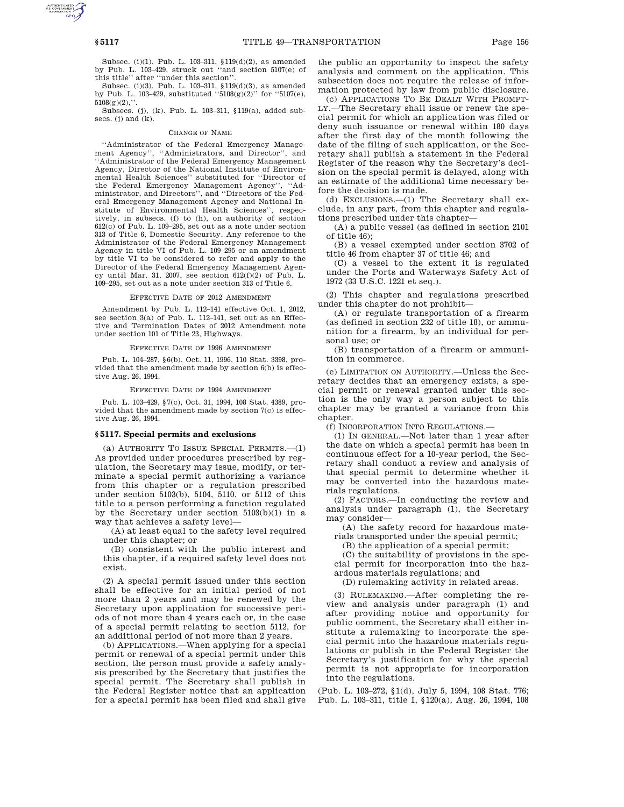Subsec. (i)(1). Pub. L. 103–311, §119(d)(2), as amended by Pub. L. 103–429, struck out ''and section 5107(e) of this title'' after ''under this section''.

Subsec. (i)(3). Pub. L. 103–311, §119(d)(3), as amended by Pub. L. 103-429, substituted  $``5108(g)(2)"$  for  $``5107(e)$ ,  $5108(g)(2)$ ,

Subsecs. (j), (k). Pub. L. 103–311, §119(a), added subsecs. (j) and  $(k)$ .

#### CHANGE OF NAME

''Administrator of the Federal Emergency Management Agency'', ''Administrators, and Director'', and ''Administrator of the Federal Emergency Management Agency, Director of the National Institute of Environmental Health Sciences'' substituted for ''Director of the Federal Emergency Management Agency'', ''Administrator, and Directors'', and ''Directors of the Federal Emergency Management Agency and National Institute of Environmental Health Sciences'', respectively, in subsecs. (f) to (h), on authority of section 612(c) of Pub. L. 109–295, set out as a note under section 313 of Title 6, Domestic Security. Any reference to the Administrator of the Federal Emergency Management Agency in title VI of Pub. L. 109–295 or an amendment by title VI to be considered to refer and apply to the Director of the Federal Emergency Management Agency until Mar. 31, 2007, see section  $612(f)(2)$  of Pub. L. 109–295, set out as a note under section 313 of Title 6.

#### EFFECTIVE DATE OF 2012 AMENDMENT

Amendment by Pub. L. 112–141 effective Oct. 1, 2012, see section 3(a) of Pub. L. 112-141, set out as an Effective and Termination Dates of 2012 Amendment note under section 101 of Title 23, Highways.

### EFFECTIVE DATE OF 1996 AMENDMENT

Pub. L. 104–287, §6(b), Oct. 11, 1996, 110 Stat. 3398, provided that the amendment made by section 6(b) is effective Aug. 26, 1994.

#### EFFECTIVE DATE OF 1994 AMENDMENT

Pub. L. 103–429, §7(c), Oct. 31, 1994, 108 Stat. 4389, provided that the amendment made by section 7(c) is effective Aug. 26, 1994.

# **§ 5117. Special permits and exclusions**

(a) AUTHORITY TO ISSUE SPECIAL PERMITS.—(1) As provided under procedures prescribed by regulation, the Secretary may issue, modify, or terminate a special permit authorizing a variance from this chapter or a regulation prescribed under section 5103(b), 5104, 5110, or 5112 of this title to a person performing a function regulated by the Secretary under section 5103(b)(1) in a way that achieves a safety level—

(A) at least equal to the safety level required under this chapter; or

(B) consistent with the public interest and this chapter, if a required safety level does not exist.

(2) A special permit issued under this section shall be effective for an initial period of not more than 2 years and may be renewed by the Secretary upon application for successive periods of not more than 4 years each or, in the case of a special permit relating to section 5112, for an additional period of not more than 2 years.

(b) APPLICATIONS.—When applying for a special permit or renewal of a special permit under this section, the person must provide a safety analysis prescribed by the Secretary that justifies the special permit. The Secretary shall publish in the Federal Register notice that an application for a special permit has been filed and shall give the public an opportunity to inspect the safety analysis and comment on the application. This subsection does not require the release of information protected by law from public disclosure.

(c) APPLICATIONS TO BE DEALT WITH PROMPT-LY.—The Secretary shall issue or renew the special permit for which an application was filed or deny such issuance or renewal within 180 days after the first day of the month following the date of the filing of such application, or the Secretary shall publish a statement in the Federal Register of the reason why the Secretary's decision on the special permit is delayed, along with an estimate of the additional time necessary before the decision is made.

(d) EXCLUSIONS.—(1) The Secretary shall exclude, in any part, from this chapter and regulations prescribed under this chapter—

(A) a public vessel (as defined in section 2101 of title 46);

(B) a vessel exempted under section 3702 of title 46 from chapter 37 of title 46; and

(C) a vessel to the extent it is regulated under the Ports and Waterways Safety Act of 1972 (33 U.S.C. 1221 et seq.).

(2) This chapter and regulations prescribed under this chapter do not prohibit—

(A) or regulate transportation of a firearm (as defined in section 232 of title 18), or ammunition for a firearm, by an individual for personal use; or

(B) transportation of a firearm or ammunition in commerce.

(e) LIMITATION ON AUTHORITY.—Unless the Secretary decides that an emergency exists, a special permit or renewal granted under this section is the only way a person subject to this chapter may be granted a variance from this chapter.

(f) INCORPORATION INTO REGULATIONS.—

(1) IN GENERAL.—Not later than 1 year after the date on which a special permit has been in continuous effect for a 10-year period, the Secretary shall conduct a review and analysis of that special permit to determine whether it may be converted into the hazardous materials regulations.

(2) FACTORS.—In conducting the review and analysis under paragraph (1), the Secretary may consider—

(A) the safety record for hazardous materials transported under the special permit;

(B) the application of a special permit;

(C) the suitability of provisions in the special permit for incorporation into the hazardous materials regulations; and

(D) rulemaking activity in related areas.

(3) RULEMAKING.—After completing the review and analysis under paragraph (1) and after providing notice and opportunity for public comment, the Secretary shall either institute a rulemaking to incorporate the special permit into the hazardous materials regulations or publish in the Federal Register the Secretary's justification for why the special permit is not appropriate for incorporation into the regulations.

(Pub. L. 103–272, §1(d), July 5, 1994, 108 Stat. 776; Pub. L. 103–311, title I, §120(a), Aug. 26, 1994, 108